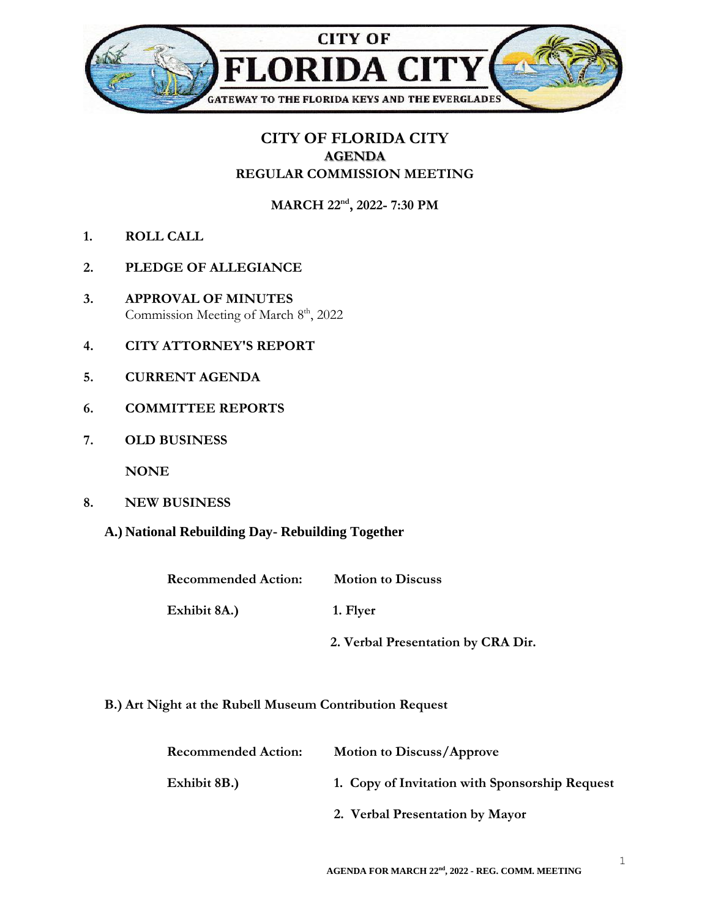

## **CITY OF FLORIDA CITY AGENDA REGULAR COMMISSION MEETING**

**MARCH 22nd , 2022- 7:30 PM**

- **1. ROLL CALL**
- **2. PLEDGE OF ALLEGIANCE**
- **3. APPROVAL OF MINUTES** Commission Meeting of March 8<sup>th</sup>, 2022
- **4. CITY ATTORNEY'S REPORT**
- **5. CURRENT AGENDA**
- **6. COMMITTEE REPORTS**
- **7. OLD BUSINESS**

**NONE**

- **8. NEW BUSINESS**
	- **A.) National Rebuilding Day- Rebuilding Together**

| <b>Recommended Action:</b> | <b>Motion to Discuss</b>           |
|----------------------------|------------------------------------|
| Exhibit 8A.)               | 1. Flyer                           |
|                            | 2. Verbal Presentation by CRA Dir. |

**B.) Art Night at the Rubell Museum Contribution Request**

| <b>Recommended Action:</b> | <b>Motion to Discuss/Approve</b>               |
|----------------------------|------------------------------------------------|
| Exhibit 8B.)               | 1. Copy of Invitation with Sponsorship Request |
|                            | 2. Verbal Presentation by Mayor                |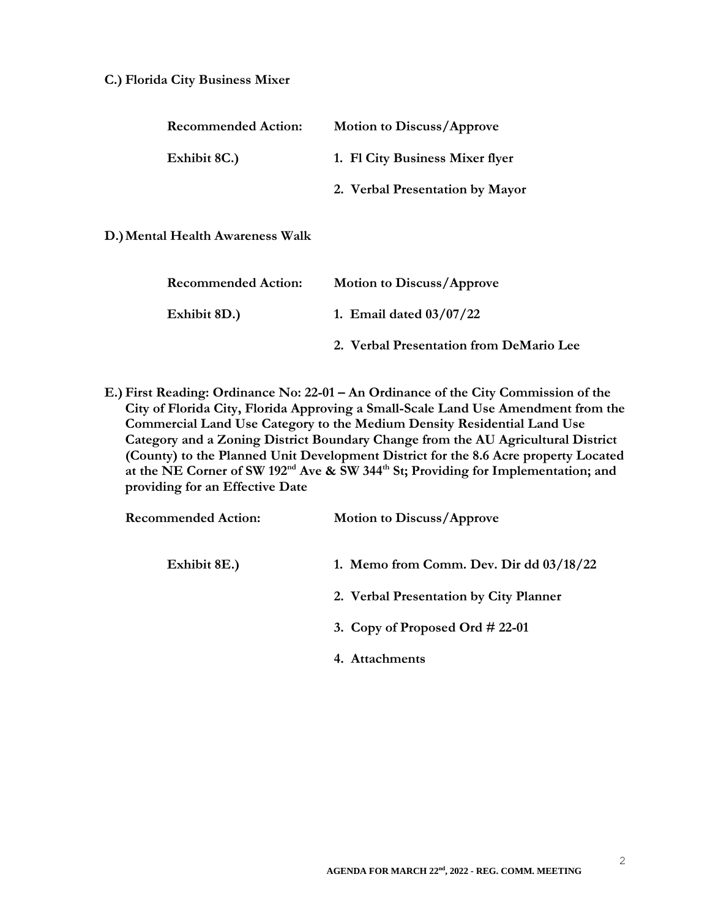## **C.) Florida City Business Mixer**

| <b>Recommended Action:</b>       | <b>Motion to Discuss/Approve</b> |
|----------------------------------|----------------------------------|
| Exhibit 8C.)                     | 1. Fl City Business Mixer flyer  |
|                                  | 2. Verbal Presentation by Mayor  |
| D.) Mental Health Awareness Walk |                                  |

| <b>Recommended Action:</b> | <b>Motion to Discuss/Approve</b>        |
|----------------------------|-----------------------------------------|
| Exhibit 8D.)               | 1. Email dated $03/07/22$               |
|                            | 2. Verbal Presentation from DeMario Lee |

**E.) First Reading: Ordinance No: 22-01 – An Ordinance of the City Commission of the City of Florida City, Florida Approving a Small-Scale Land Use Amendment from the Commercial Land Use Category to the Medium Density Residential Land Use Category and a Zoning District Boundary Change from the AU Agricultural District (County) to the Planned Unit Development District for the 8.6 Acre property Located at the NE Corner of SW 192nd Ave & SW 344th St; Providing for Implementation; and providing for an Effective Date**

| <b>Recommended Action:</b> | Motion to Discuss/Approve                 |
|----------------------------|-------------------------------------------|
| Exhibit 8E.)               | 1. Memo from Comm. Dev. Dir dd $03/18/22$ |
|                            | 2. Verbal Presentation by City Planner    |
|                            | 3. Copy of Proposed Ord $\#$ 22-01        |
|                            | 4. Attachments                            |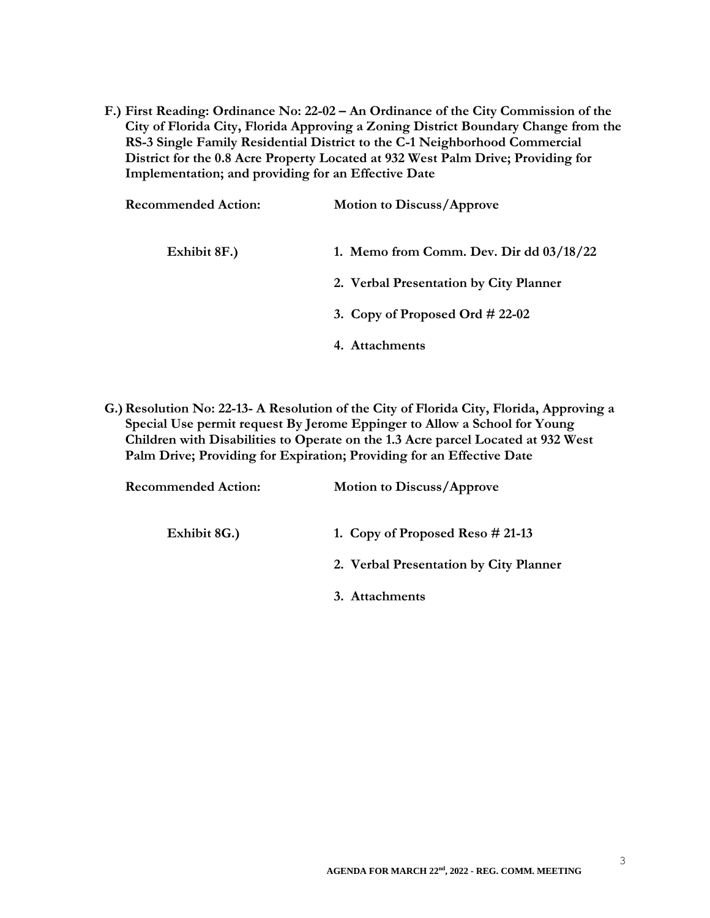**F.) First Reading: Ordinance No: 22-02 – An Ordinance of the City Commission of the City of Florida City, Florida Approving a Zoning District Boundary Change from the RS-3 Single Family Residential District to the C-1 Neighborhood Commercial District for the 0.8 Acre Property Located at 932 West Palm Drive; Providing for Implementation; and providing for an Effective Date**

| <b>Recommended Action:</b> | <b>Motion to Discuss/Approve</b>          |
|----------------------------|-------------------------------------------|
| Exhibit 8F.)               | 1. Memo from Comm. Dev. Dir dd $03/18/22$ |
|                            | 2. Verbal Presentation by City Planner    |
|                            | 3. Copy of Proposed Ord $\#$ 22-02        |
|                            | 4. Attachments                            |

**G.)Resolution No: 22-13- A Resolution of the City of Florida City, Florida, Approving a Special Use permit request By Jerome Eppinger to Allow a School for Young Children with Disabilities to Operate on the 1.3 Acre parcel Located at 932 West Palm Drive; Providing for Expiration; Providing for an Effective Date**

| <b>Recommended Action:</b> | <b>Motion to Discuss/Approve</b>       |
|----------------------------|----------------------------------------|
| Exhibit 8G.)               | 1. Copy of Proposed Reso $\# 21-13$    |
|                            | 2. Verbal Presentation by City Planner |
|                            | 3. Attachments                         |